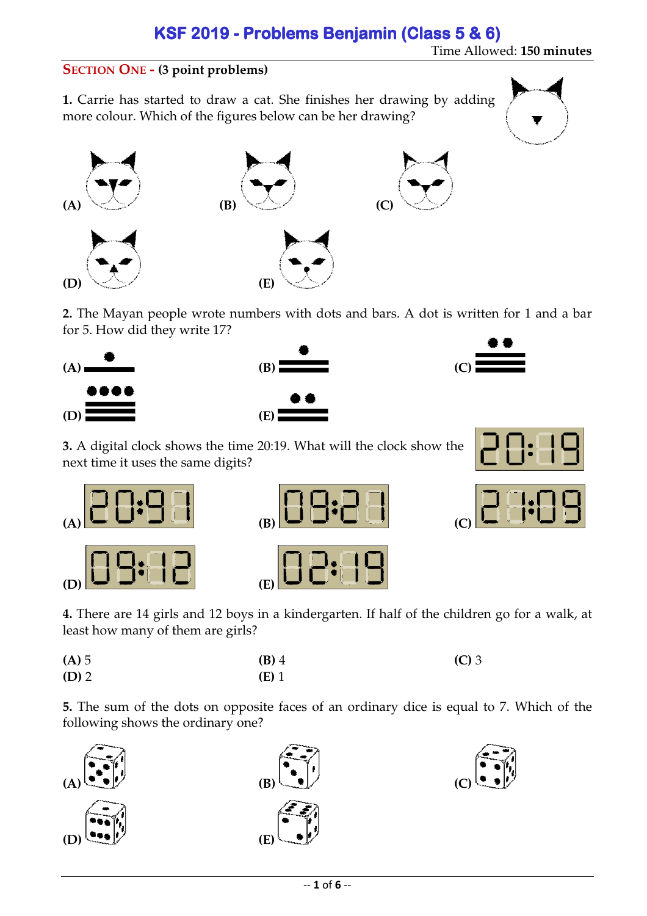Time Allowed: **150 minutes**

### **SECTION ONE - (3 point problems)**

**1.** Carrie has started to draw a cat. She finishes her drawing by adding more colour. Which of the figures below can be her drawing?



**2.** The Mayan people wrote numbers with dots and bars. A dot is written for 1 and a bar for 5. How did they write 17?



**3.** A digital clock shows the time 20:19. What will the clock show the next time it uses the same digits?

| (A) |  |
|-----|--|
| (D) |  |

| (B) |  |  |  |
|-----|--|--|--|
|     |  |  |  |



**4.** There are 14 girls and 12 boys in a kindergarten. If half of the children go for a walk, at least how many of them are girls? girls?

| $(A)$ 5 | $(B)$ 4 | $(C)$ 3 |
|---------|---------|---------|
| $(D)$ 2 | $(E)$ 1 |         |

**5.** The sum of the dots on opposite faces of an ordinary dice is equal to 7. Which of the following shows the ordinary one?





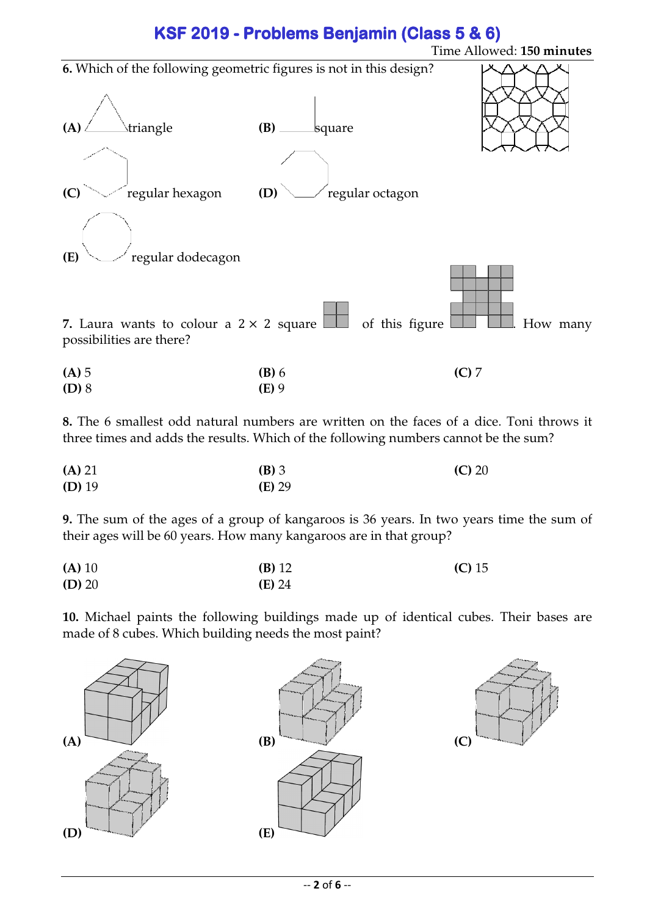

**8.** The 6 smallest odd natural numbers are written on the faces of a dice. Toni throws it three times and adds the results. Which of the following numbers cannot be the sum?

| (A) 21   | <b>(B)</b> 3 | (C) 20 |
|----------|--------------|--------|
| $(D)$ 19 | $(E)$ 29     |        |

**9.** The sum of the ages of a group of kangaroos is 36 years. In two years time the sum of their ages will be 60 years. How many kangaroos are in that group?

| (A) 10   | $(B)$ 12 | $(C)$ 15 |
|----------|----------|----------|
| $(D)$ 20 | (E) 24   |          |

**10.** Michael paints the following buildings made up of identical cubes. Their bases are made of 8 cubes. Which building needs the most paint?

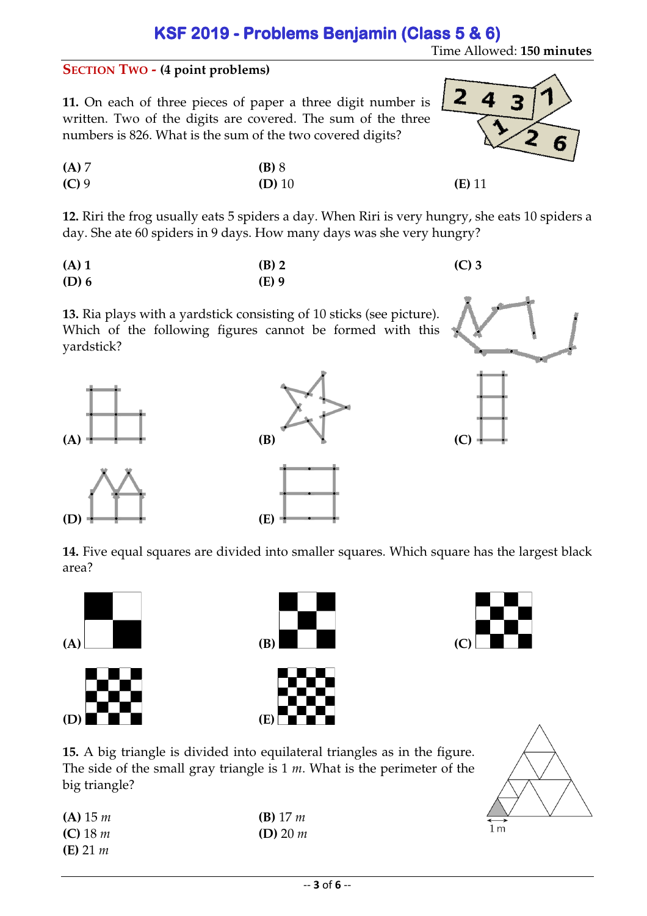Time Allowed: **150 minutes**

8

 $\overline{\mathbf{z}}$ 

4

#### **SECTION TWO - (4 point problems)**

**11.** On each of three pieces of paper a three digit number is written. Two of the digits are covered. The sum of the three numbers is 826. What is the sum of the two covered digits?

| (A) 7   | $(B)$ 8  |          |
|---------|----------|----------|
| $(C)$ 9 | $(D)$ 10 | $(E)$ 11 |

**12.** Riri the frog usually eats 5 spiders a day. When Riri is very hungry, she eats 10 spiders a day. She ate 60 spiders in 9 days. How many days was she very hungry?

| $(A)$ 1 | $(B)$ 2 | $(C)$ 3 |
|---------|---------|---------|
| $(D)$ 6 | $(E)$ 9 |         |

**13.** Ria plays with a yardstick consisting of 10 sticks (see picture). Which of the following figures cannot be formed with this yardstick?









**14.** Five equal squares are divided into smaller squares. Which square has the largest black area?







**15.** A big triangle is divided into equilateral triangles as in the figure. The side of the small gray triangle is 1 *m*. What is the perimeter of the big triangle?

| $(A)$ 15 m          | <b>(B)</b> 17 $m$ |
|---------------------|-------------------|
| (C) 18 $m$          | $(D)$ 20 m        |
| ( <b>E</b> ) 21 $m$ |                   |

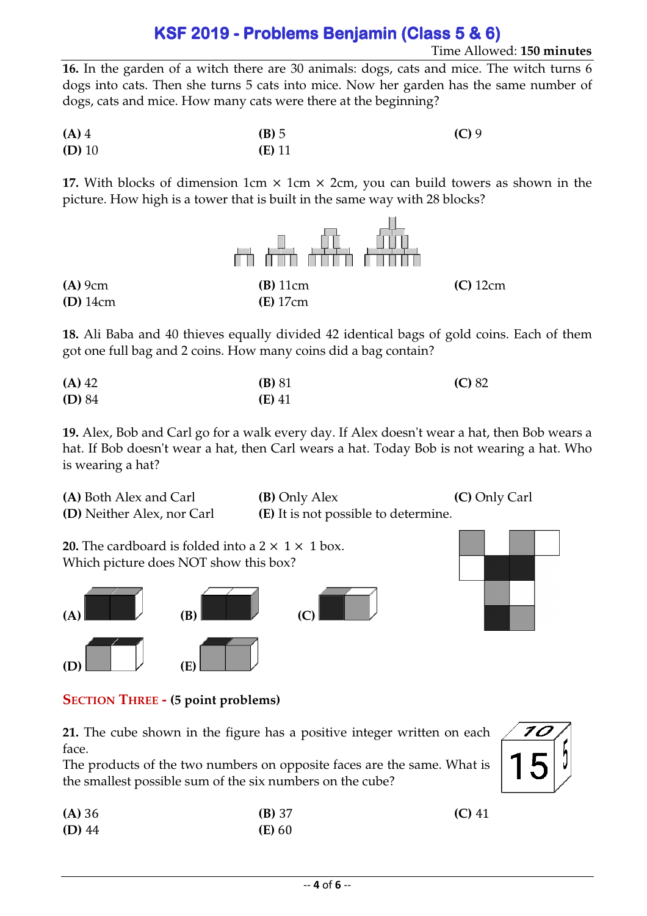**16.** In the garden of a witch there are 30 animals: dogs, cats and mice. The witch turns 6 dogs into cats. Then she turns 5 cats into mice. Now her garden has the same number of dogs, cats and mice. How many cats were there at the beginning?

**(A)** 4 **(B)** 5 **(C)** 9 **(D)** 10 **(E)** 11

**17.** With blocks of dimension 1cm  $\times$  1cm  $\times$  2cm, you can build towers as shown in the picture. How high is a tower that is built in the same way with 28 blocks?



**18.** Ali Baba and 40 thieves equally divided 42 identical bags of gold coins. Each of them got one full bag and 2 coins. How many coins did a bag contain?

| $(A)$ 42 | $(B)$ 81 | (C) 82 |
|----------|----------|--------|
| (D) 84   | $(E)$ 41 |        |

**19.** Alex, Bob and Carl go for a walk every day. If Alex doesn't wear a hat, then Bob wears a hat. If Bob doesn't wear a hat, then Carl wears a hat. Today Bob is not wearing a hat. Who is wearing a hat?

| (A) Both Alex and Carl            | <b>(B)</b> Only Alex                        | (C) Only Carl |
|-----------------------------------|---------------------------------------------|---------------|
| <b>(D)</b> Neither Alex, nor Carl | <b>(E)</b> It is not possible to determine. |               |

**20.** The cardboard is folded into a  $2 \times 1 \times 1$  box. Which picture does NOT show this box?





**SECTION THREE - (5 point problems)** 

**21.** The cube shown in the figure has a positive integer written on each face.

The products of the two numbers on opposite faces are the same. What is the smallest possible sum of the six numbers on the cube?

| (A) 36   | (B) 37   | $(C)$ 41 |
|----------|----------|----------|
| $(D)$ 44 | $(E)$ 60 |          |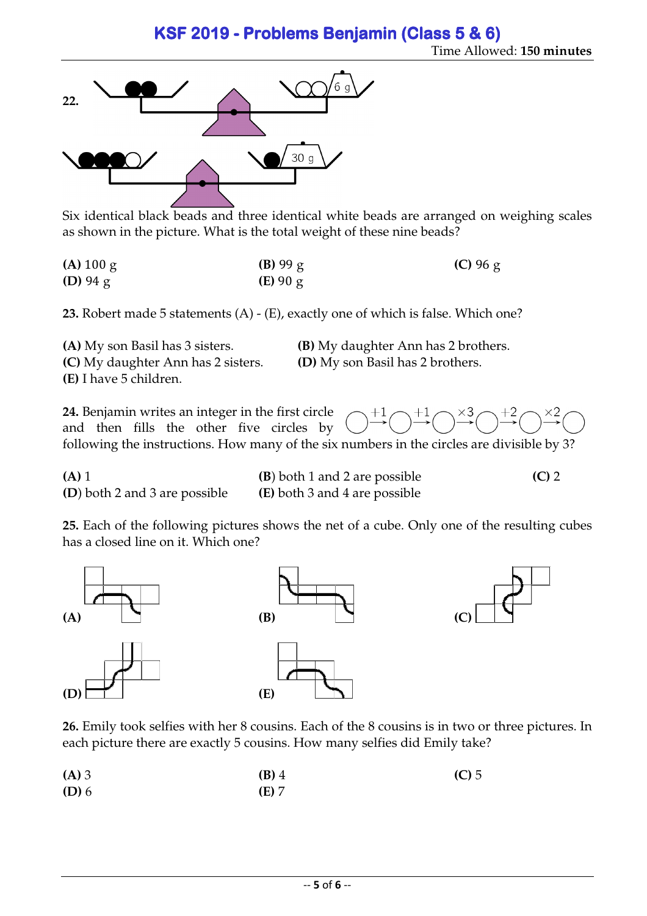Time Allowed: **150 minutes**



Six identical black beads and three identical white beads are arranged on weighing scales as shown in the picture. What is the total weight of these nine beads?

| (A) 100 g          | $(B)$ 99 g | (C) $96 \text{ g}$ |
|--------------------|------------|--------------------|
| (D) $94 \text{ g}$ | (E) 90 g   |                    |

**23.** Robert made 5 statements (A) - (E), exactly one of which is false. Which one?

**(A)** My son Basil has 3 sisters. **(B)** My daughter Ann has 2 brothers. **(C)** My daughter Ann has 2 sisters. **(D)** My son Basil has 2 brothers. **(E)** I have 5 children.

**24.** Benjamin writes an integer in the first circle  $+1$ and then fills the other five circles by following the instructions. How many of the six numbers in the circles are divisible by 3?

**(A)** 1 **(B**) both 1 and 2 are possible **(C)** 2

**(D**) both 2 and 3 are possible **(E)** both 3 and 4 are possible

**25.** Each of the following pictures shows the net of a cube. Only one of the resulting cubes has a closed line on it. Which one?



**26.** Emily took selfies with her 8 cousins. Each of the 8 cousins is in two or three pictures. In each picture there are exactly 5 cousins. How many selfies did Emily take?

| $(A)$ 3 | $(B)$ 4 | $(C)$ 5 |
|---------|---------|---------|
| $(D)$ 6 | (E) 7   |         |